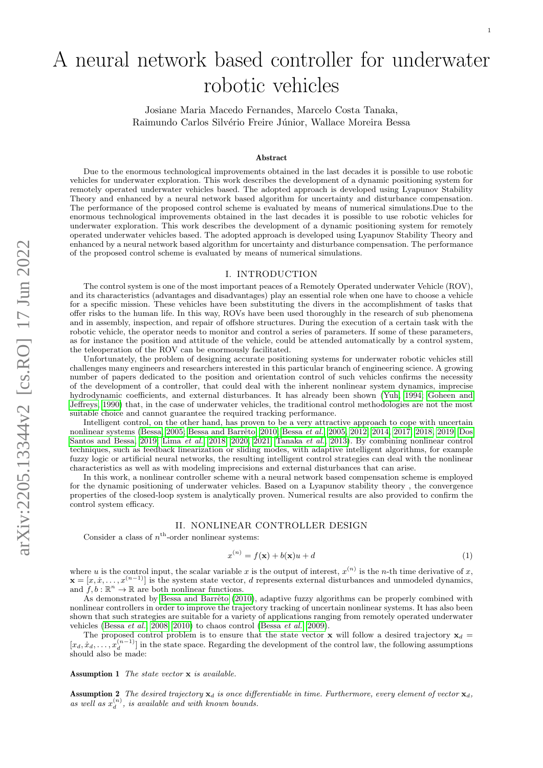# A neural network based controller for underwater robotic vehicles

Josiane Maria Macedo Fernandes, Marcelo Costa Tanaka, Raimundo Carlos Silvério Freire Júnior, Wallace Moreira Bessa

#### Abstract

Due to the enormous technological improvements obtained in the last decades it is possible to use robotic vehicles for underwater exploration. This work describes the development of a dynamic positioning system for remotely operated underwater vehicles based. The adopted approach is developed using Lyapunov Stability Theory and enhanced by a neural network based algorithm for uncertainty and disturbance compensation. The performance of the proposed control scheme is evaluated by means of numerical simulations.Due to the enormous technological improvements obtained in the last decades it is possible to use robotic vehicles for underwater exploration. This work describes the development of a dynamic positioning system for remotely operated underwater vehicles based. The adopted approach is developed using Lyapunov Stability Theory and enhanced by a neural network based algorithm for uncertainty and disturbance compensation. The performance of the proposed control scheme is evaluated by means of numerical simulations.

### I. INTRODUCTION

The control system is one of the most important peaces of a Remotely Operated underwater Vehicle (ROV), and its characteristics (advantages and disadvantages) play an essential role when one have to choose a vehicle for a specific mission. These vehicles have been substituting the divers in the accomplishment of tasks that offer risks to the human life. In this way, ROVs have been used thoroughly in the research of sub phenomena and in assembly, inspection, and repair of offshore structures. During the execution of a certain task with the robotic vehicle, the operator needs to monitor and control a series of parameters. If some of these parameters, as for instance the position and attitude of the vehicle, could be attended automatically by a control system, the teleoperation of the ROV can be enormously facilitated.

Unfortunately, the problem of designing accurate positioning systems for underwater robotic vehicles still challenges many engineers and researchers interested in this particular branch of engineering science. A growing number of papers dedicated to the position and orientation control of such vehicles confirms the necessity of the development of a controller, that could deal with the inherent nonlinear system dynamics, imprecise hydrodynamic coefficients, and external disturbances. It has already been shown [\(Yuh, 1994;](#page-7-0) [Goheen and](#page-6-0) [Jeffreys, 1990\)](#page-6-0) that, in the case of underwater vehicles, the traditional control methodologies are not the most suitable choice and cannot guarantee the required tracking performance.

Intelligent control, on the other hand, has proven to be a very attractive approach to cope with uncertain nonlinear systems [\(Bessa, 2005;](#page-6-1) [Bessa](#page-6-3) and Barrêto, 2010; Bessa et al., [2005,](#page-6-3) [2012,](#page-6-4) [2014,](#page-6-5) [2017,](#page-6-6) [2018,](#page-6-7) [2019;](#page-6-8) [Dos](#page-6-9) [Santos and Bessa, 2019;](#page-6-9) [Lima](#page-6-10) et al., [2018,](#page-6-10) [2020,](#page-6-11) [2021;](#page-6-12) [Tanaka](#page-7-1) et al., [2013\)](#page-7-1). By combining nonlinear control techniques, such as feedback linearization or sliding modes, with adaptive intelligent algorithms, for example fuzzy logic or artificial neural networks, the resulting intelligent control strategies can deal with the nonlinear characteristics as well as with modeling imprecisions and external disturbances that can arise.

In this work, a nonlinear controller scheme with a neural network based compensation scheme is employed for the dynamic positioning of underwater vehicles. Based on a Lyapunov stability theory , the convergence properties of the closed-loop system is analytically proven. Numerical results are also provided to confirm the control system efficacy.

# II. NONLINEAR CONTROLLER DESIGN

Consider a class of  $n<sup>th</sup>$ -order nonlinear systems:

<span id="page-0-2"></span>
$$
x^{(n)} = f(\mathbf{x}) + b(\mathbf{x})u + d \tag{1}
$$

where u is the control input, the scalar variable x is the output of interest,  $x^{(n)}$  is the n-th time derivative of x,  $\mathbf{x} = [x, \dot{x}, \dots, x^{(n-1)}]$  is the system state vector, d represents external disturbances and unmodeled dynamics, and  $f, b : \mathbb{R}^n \to \mathbb{R}$  are both nonlinear functions.

As demonstrated by Bessa and Barrêto [\(2010\)](#page-6-2), adaptive fuzzy algorithms can be properly combined with nonlinear controllers in order to improve the trajectory tracking of uncertain nonlinear systems. It has also been shown that such strategies are suitable for a variety of applications ranging from remotely operated underwater vehicles [\(Bessa](#page-6-13) et al., [2008,](#page-6-13) [2010\)](#page-6-14) to chaos control [\(Bessa](#page-6-15) et al., [2009\)](#page-6-15).

The proposed control problem is to ensure that the state vector **x** will follow a desired trajectory  $x_d$  =  $[x_d, \dot{x}_d, \ldots, \dot{x}_d^{(n-1)}]$  in the state space. Regarding the development of the control law, the following assumptions should also be made:

<span id="page-0-0"></span>Assumption 1 The state vector **x** is available.

<span id="page-0-1"></span>**Assumption 2** The desired trajectory  $x_d$  is once differentiable in time. Furthermore, every element of vector  $x_d$ , as well as  $x_d^{(n)}$ , is available and with known bounds.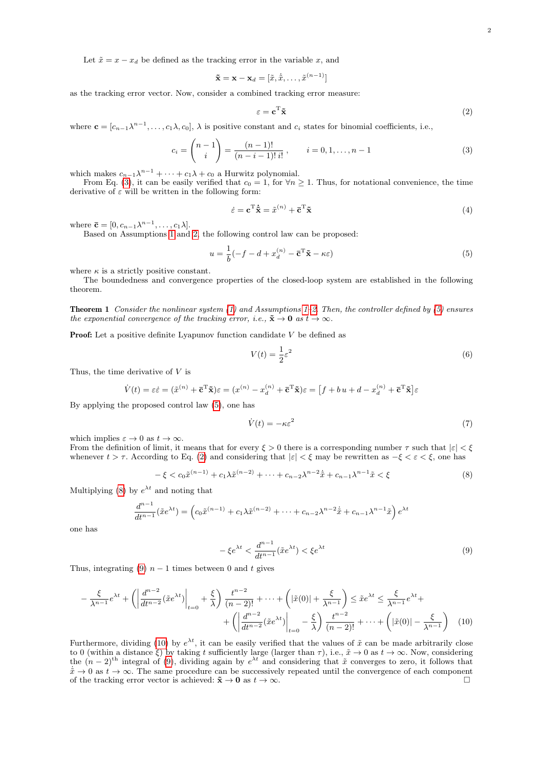Let  $\tilde{x} = x - x_d$  be defined as the tracking error in the variable x, and

$$
\tilde{\mathbf{x}} = \mathbf{x} - \mathbf{x}_d = [\tilde{x}, \dot{\tilde{x}}, \dots, \tilde{x}^{(n-1)}]
$$

as the tracking error vector. Now, consider a combined tracking error measure:

<span id="page-1-2"></span>
$$
\varepsilon = \mathbf{c}^{\mathrm{T}} \tilde{\mathbf{x}} \tag{2}
$$

where  $\mathbf{c} = [c_{n-1}\lambda^{n-1}, \ldots, c_1\lambda, c_0], \lambda$  is positive constant and  $c_i$  states for binomial coefficients, i.e.,

<span id="page-1-0"></span>
$$
c_i = \binom{n-1}{i} = \frac{(n-1)!}{(n-i-1)! \, i!}, \qquad i = 0, 1, \dots, n-1 \tag{3}
$$

which makes  $c_{n-1}\lambda^{n-1} + \cdots + c_1\lambda + c_0$  a Hurwitz polynomial.

From Eq. [\(3\)](#page-1-0), it can be easily verified that  $c_0 = 1$ , for  $\forall n \geq 1$ . Thus, for notational convenience, the time derivative of  $\varepsilon$  will be written in the following form:

$$
\dot{\varepsilon} = \mathbf{c}^{\mathrm{T}} \dot{\tilde{\mathbf{x}}} = \tilde{x}^{(n)} + \bar{\mathbf{c}}^{\mathrm{T}} \tilde{\mathbf{x}} \tag{4}
$$

where  $\bar{\mathbf{c}} = [0, c_{n-1}\lambda^{n-1}, \dots, c_1\lambda].$ 

Based on Assumptions [1](#page-0-0) and [2,](#page-0-1) the following control law can be proposed:

<span id="page-1-1"></span>
$$
u = \frac{1}{b}(-f - d + x_d^{(n)} - \bar{\mathbf{c}}^{\mathrm{T}}\tilde{\mathbf{x}} - \kappa \varepsilon)
$$
\n(5)

where  $\kappa$  is a strictly positive constant.

The boundedness and convergence properties of the closed-loop system are established in the following theorem.

**Theorem 1** Consider the nonlinear system  $(1)$  and Assumptions [1–](#page-0-0)[2.](#page-0-1) Then, the controller defined by  $(5)$  ensures the exponential convergence of the tracking error, i.e.,  $\tilde{\mathbf{x}} \to \mathbf{0}$  as  $t \to \infty$ .

**Proof:** Let a positive definite Lyapunov function candidate  $V$  be defined as

$$
V(t) = \frac{1}{2}\varepsilon^2\tag{6}
$$

Thus, the time derivative of V is

$$
\dot{V}(t) = \varepsilon \dot{\varepsilon} = (\tilde{x}^{(n)} + \bar{\mathbf{c}}^{\mathrm{T}} \tilde{\mathbf{x}}) \varepsilon = (x^{(n)} - x_d^{(n)} + \bar{\mathbf{c}}^{\mathrm{T}} \tilde{\mathbf{x}}) \varepsilon = \left[ f + bu + d - x_d^{(n)} + \bar{\mathbf{c}}^{\mathrm{T}} \tilde{\mathbf{x}} \right] \varepsilon
$$

By applying the proposed control law [\(5\)](#page-1-1), one has

$$
\dot{V}(t) = -\kappa \varepsilon^2 \tag{7}
$$

which implies  $\varepsilon \to 0$  as  $t \to \infty$ .

From the definition of limit, it means that for every  $\xi > 0$  there is a corresponding number  $\tau$  such that  $|\varepsilon| < \xi$ whenever  $t > \tau$ . According to Eq. [\(2\)](#page-1-2) and considering that  $|\varepsilon| < \xi$  may be rewritten as  $-\xi < \varepsilon < \xi$ , one has

<span id="page-1-3"></span>
$$
-\xi < c_0 \tilde{x}^{(n-1)} + c_1 \lambda \tilde{x}^{(n-2)} + \dots + c_{n-2} \lambda^{n-2} \dot{\tilde{x}} + c_{n-1} \lambda^{n-1} \tilde{x} < \xi \tag{8}
$$

Multiplying [\(8\)](#page-1-3) by  $e^{\lambda t}$  and noting that

$$
\frac{d^{n-1}}{dt^{n-1}}(\tilde{x}e^{\lambda t}) = \left(c_0\tilde{x}^{(n-1)} + c_1\lambda\tilde{x}^{(n-2)} + \dots + c_{n-2}\lambda^{n-2}\dot{\tilde{x}} + c_{n-1}\lambda^{n-1}\tilde{x}\right)e^{\lambda t}
$$

one has

<span id="page-1-5"></span><span id="page-1-4"></span>
$$
-\xi e^{\lambda t} < \frac{d^{n-1}}{dt^{n-1}}(\tilde{x}e^{\lambda t}) < \xi e^{\lambda t} \tag{9}
$$

Thus, integrating [\(9\)](#page-1-4)  $n-1$  times between 0 and t gives

$$
-\frac{\xi}{\lambda^{n-1}}e^{\lambda t} + \left(\left|\frac{d^{n-2}}{dt^{n-2}}(\tilde{x}e^{\lambda t})\right|_{t=0} + \frac{\xi}{\lambda}\right)\frac{t^{n-2}}{(n-2)!} + \dots + \left(|\tilde{x}(0)| + \frac{\xi}{\lambda^{n-1}}\right) \leq \tilde{x}e^{\lambda t} \leq \frac{\xi}{\lambda^{n-1}}e^{\lambda t} + \left(\left|\frac{d^{n-2}}{dt^{n-2}}(\tilde{x}e^{\lambda t})\right|_{t=0} - \frac{\xi}{\lambda}\right)\frac{t^{n-2}}{(n-2)!} + \dots + \left(|\tilde{x}(0)| - \frac{\xi}{\lambda^{n-1}}\right) \tag{10}
$$

Furthermore, dividing [\(10\)](#page-1-5) by  $e^{\lambda t}$ , it can be easily verified that the values of  $\tilde{x}$  can be made arbitrarily close to 0 (within a distance  $\xi$ ) by taking t sufficiently large (larger than  $\tau$ ), i.e.,  $\tilde{x} \to 0$  as  $t \to \infty$ . Now, considering the  $(n-2)$ <sup>th</sup> integral of [\(9\)](#page-1-4), dividing again by  $e^{\lambda t}$  and considering that  $\tilde{x}$  converges to zero, it follows that  $\dot{x} \to 0$  as  $t \to \infty$ . The same procedure can be successively repeated until the convergence of each component of the tracking error vector is achieved:  $\tilde{\mathbf{x}} \to \mathbf{0}$  as  $t \to \infty$ .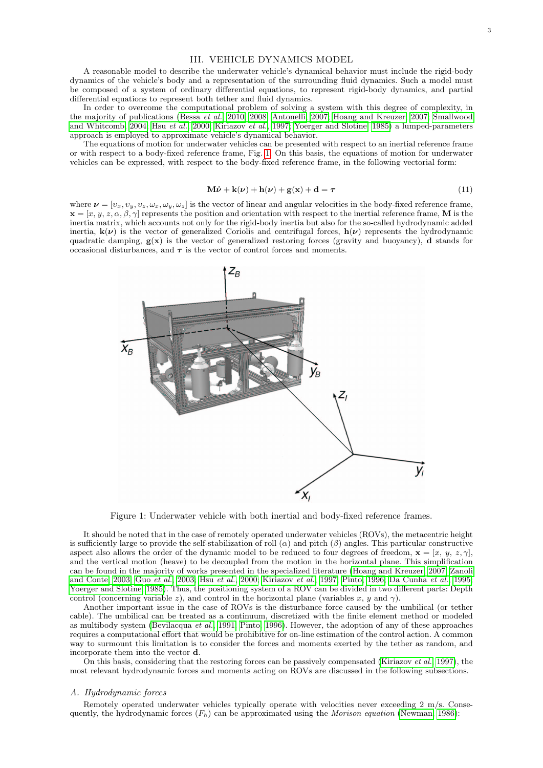## III. VEHICLE DYNAMICS MODEL

A reasonable model to describe the underwater vehicle's dynamical behavior must include the rigid-body dynamics of the vehicle's body and a representation of the surrounding fluid dynamics. Such a model must be composed of a system of ordinary differential equations, to represent rigid-body dynamics, and partial differential equations to represent both tether and fluid dynamics.

In order to overcome the computational problem of solving a system with this degree of complexity, in the majority of publications [\(Bessa](#page-6-14) et al., [2010,](#page-6-14) [2008;](#page-6-13) [Antonelli, 2007;](#page-5-0) [Hoang and Kreuzer, 2007;](#page-6-16) [Smallwood](#page-6-17) [and Whitcomb, 2004;](#page-6-17) Hsu [et al.](#page-6-18), [2000;](#page-6-18) [Kiriazov](#page-6-19) et al., [1997;](#page-6-19) [Yoerger and Slotine, 1985\)](#page-7-2) a lumped-parameters approach is employed to approximate vehicle's dynamical behavior.

The equations of motion for underwater vehicles can be presented with respect to an inertial reference frame or with respect to a body-fixed reference frame, Fig. [1.](#page-2-0) On this basis, the equations of motion for underwater vehicles can be expressed, with respect to the body-fixed reference frame, in the following vectorial form:

<span id="page-2-1"></span>
$$
\mathbf{M}\dot{\boldsymbol{\nu}} + \mathbf{k}(\boldsymbol{\nu}) + \mathbf{h}(\boldsymbol{\nu}) + \mathbf{g}(\mathbf{x}) + \mathbf{d} = \boldsymbol{\tau}
$$
\n(11)

where  $\nu = [\nu_x, \nu_y, \nu_z, \omega_x, \omega_y, \omega_z]$  is the vector of linear and angular velocities in the body-fixed reference frame,  $\mathbf{x} = [x, y, z, \alpha, \beta, \gamma]$  represents the position and orientation with respect to the inertial reference frame, M is the inertia matrix, which accounts not only for the rigid-body inertia but also for the so-called hydrodynamic added inertia,  $k(\nu)$  is the vector of generalized Coriolis and centrifugal forces,  $h(\nu)$  represents the hydrodynamic quadratic damping,  $g(x)$  is the vector of generalized restoring forces (gravity and buoyancy), d stands for occasional disturbances, and  $\tau$  is the vector of control forces and moments.



<span id="page-2-0"></span>Figure 1: Underwater vehicle with both inertial and body-fixed reference frames.

It should be noted that in the case of remotely operated underwater vehicles (ROVs), the metacentric height is sufficiently large to provide the self-stabilization of roll  $(\alpha)$  and pitch  $(\beta)$  angles. This particular constructive aspect also allows the order of the dynamic model to be reduced to four degrees of freedom,  $\mathbf{x} = [x, y, z, \gamma]$ , and the vertical motion (heave) to be decoupled from the motion in the horizontal plane. This simplification can be found in the majority of works presented in the specialized literature [\(Hoang and Kreuzer, 2007;](#page-6-16) [Zanoli](#page-7-3) [and Conte, 2003;](#page-7-3) Guo [et al.](#page-6-20), [2003;](#page-6-20) Hsu [et al.](#page-6-18), [2000;](#page-6-18) [Kiriazov](#page-6-19) et al., [1997;](#page-6-19) [Pinto, 1996;](#page-6-21) [Da Cunha](#page-6-22) et al., [1995;](#page-6-22) [Yoerger and Slotine, 1985\)](#page-7-2). Thus, the positioning system of a ROV can be divided in two different parts: Depth control (concerning variable z), and control in the horizontal plane (variables x, y and  $\gamma$ ).

Another important issue in the case of ROVs is the disturbance force caused by the umbilical (or tether cable). The umbilical can be treated as a continuum, discretized with the finite element method or modeled as multibody system [\(Bevilacqua](#page-6-23) et al., [1991;](#page-6-23) [Pinto, 1996\)](#page-6-21). However, the adoption of any of these approaches requires a computational effort that would be prohibitive for on-line estimation of the control action. A common way to surmount this limitation is to consider the forces and moments exerted by the tether as random, and incorporate them into the vector d.

On this basis, considering that the restoring forces can be passively compensated [\(Kiriazov](#page-6-19) *et al.*, [1997\)](#page-6-19), the most relevant hydrodynamic forces and moments acting on ROVs are discussed in the following subsections.

#### A. Hydrodynamic forces

Remotely operated underwater vehicles typically operate with velocities never exceeding 2 m/s. Consequently, the hydrodynamic forces  $(F_h)$  can be approximated using the *Morison equation* [\(Newman, 1986\)](#page-6-24):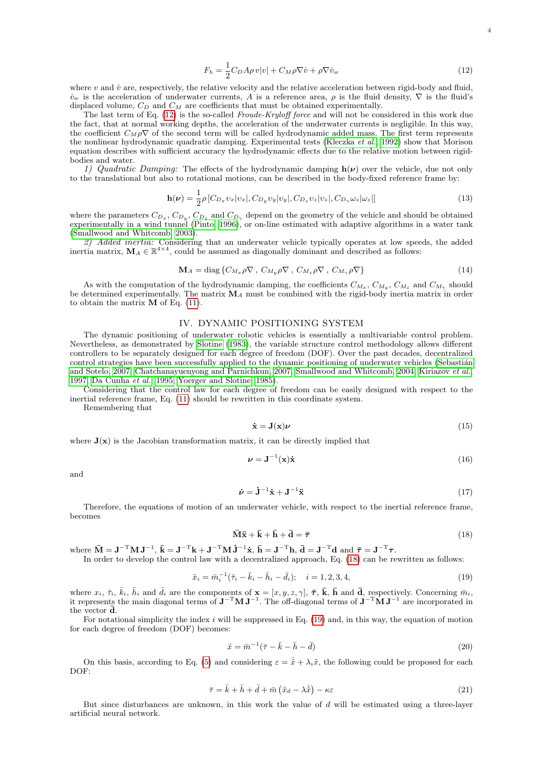<span id="page-3-0"></span>
$$
F_h = \frac{1}{2} C_D A \rho v |v| + C_M \rho \nabla \dot{v} + \rho \nabla \dot{v}_w \tag{12}
$$

4

where  $v$  and  $\dot{v}$  are, respectively, the relative velocity and the relative acceleration between rigid-body and fluid,  $\dot{v}_w$  is the acceleration of underwater currents, A is a reference area,  $\rho$  is the fluid density,  $\nabla$  is the fluid's displaced volume,  $C_D$  and  $C_M$  are coefficients that must be obtained experimentally.

The last term of Eq. [\(12\)](#page-3-0) is the so-called Froude-Kryloff force and will not be considered in this work due the fact, that at normal working depths, the acceleration of the underwater currents is negligible. In this way, the coefficient  $C_M \rho \nabla$  of the second term will be called hydrodynamic added mass. The first term represents the nonlinear hydrodynamic quadratic damping. Experimental tests [\(Kleczka](#page-6-25) et al., [1992\)](#page-6-25) show that Morison equation describes with sufficient accuracy the hydrodynamic effects due to the relative motion between rigidbodies and water.

1) Quadratic Damping: The effects of the hydrodynamic damping  $h(\nu)$  over the vehicle, due not only to the translational but also to rotational motions, can be described in the body-fixed reference frame by:

$$
\mathbf{h}(\nu) = \frac{1}{2}\rho \left[C_{D_x} v_x | v_x|, C_{D_y} v_y | v_y|, C_{D_z} v_z | v_z|, C_{D_\gamma} \omega_z | \omega_z| \right]
$$
(13)

where the parameters  $C_{D_x}$ ,  $C_{D_y}$ ,  $C_{D_z}$  and  $C_{D_\gamma}$  depend on the geometry of the vehicle and should be obtained experimentally in a wind tunnel [\(Pinto, 1996\)](#page-6-21), or on-line estimated with adaptive algorithms in a water tank [\(Smallwood and Whitcomb, 2003\)](#page-6-26).

2) Added inertia: Considering that an underwater vehicle typically operates at low speeds, the added inertia matrix,  $M_A \in \mathbb{R}^{4 \times 4}$ , could be assumed as diagonally dominant and described as follows:

$$
\mathbf{M}_{A} = \text{diag}\left\{ C_{M_{x}} \rho \nabla, C_{M_{y}} \rho \nabla, C_{M_{z}} \rho \nabla, C_{M_{\gamma}} \rho \nabla \right\}
$$
(14)

As with the computation of the hydrodynamic damping, the coefficients  $C_{M_x}, C_{M_y}, C_{M_z}$  and  $C_{M_{\gamma}}$  should be determined experimentally. The matrix  $\mathbf{M}_A$  must be combined with the rigid-body inertia matrix in order to obtain the matrix M of Eq. [\(11\)](#page-2-1).

# IV. DYNAMIC POSITIONING SYSTEM

The dynamic positioning of underwater robotic vehicles is essentially a multivariable control problem. Nevertheless, as demonstrated by [Slotine](#page-6-27) [\(1983\)](#page-6-27), the variable structure control methodology allows different controllers to be separately designed for each degree of freedom (DOF). Over the past decades, decentralized control strategies have been successfully applied to the dynamic positioning of underwater vehicles (Sebastián [and Sotelo, 2007;](#page-6-28) [Chatchanayuenyong and Parnichkun, 2007;](#page-6-29) [Smallwood and Whitcomb, 2004;](#page-6-17) [Kiriazov](#page-6-19) et al., [1997;](#page-6-19) [Da Cunha](#page-6-22) et al., [1995;](#page-6-22) [Yoerger and Slotine, 1985\)](#page-7-2).

Considering that the control law for each degree of freedom can be easily designed with respect to the inertial reference frame, Eq. [\(11\)](#page-2-1) should be rewritten in this coordinate system.

Remembering that

$$
\dot{\mathbf{x}} = \mathbf{J}(\mathbf{x})\boldsymbol{\nu} \tag{15}
$$

where  $J(x)$  is the Jacobian transformation matrix, it can be directly implied that

$$
\nu = \mathbf{J}^{-1}(\mathbf{x})\dot{\mathbf{x}} \tag{16}
$$

and

$$
\dot{\nu} = \dot{\mathbf{J}}^{-1}\dot{\mathbf{x}} + \mathbf{J}^{-1}\ddot{\mathbf{x}} \tag{17}
$$

Therefore, the equations of motion of an underwater vehicle, with respect to the inertial reference frame, becomes

<span id="page-3-1"></span>
$$
\overline{\mathbf{M}}\ddot{\mathbf{x}} + \overline{\mathbf{k}} + \overline{\mathbf{h}} + \overline{\mathbf{d}} = \overline{\boldsymbol{\tau}} \tag{18}
$$

where  $\bar{\mathbf{M}} = \mathbf{J}^{-T} \mathbf{M} \mathbf{J}^{-1}$ ,  $\bar{\mathbf{k}} = \mathbf{J}^{-T} \mathbf{k} + \mathbf{J}^{-T} \mathbf{M} \dot{\mathbf{J}}^{-1} \dot{\mathbf{x}}$ ,  $\bar{\mathbf{h}} = \mathbf{J}^{-T} \mathbf{h}$ ,  $\bar{\mathbf{d}} = \mathbf{J}^{-T} \mathbf{d}$  and  $\bar{\boldsymbol{\tau}} = \mathbf{J}^{-T} \boldsymbol{\tau}$ .

In order to develop the control law with a decentralized approach, Eq. [\(18\)](#page-3-1) can be rewritten as follows:

<span id="page-3-2"></span>
$$
\ddot{x}_i = \bar{m}_i^{-1}(\bar{\tau}_i - \bar{k}_i - \bar{h}_i - \bar{d}_i); \quad i = 1, 2, 3, 4,
$$
\n(19)

where  $x_i, \bar{\tau}_i, \bar{k}_i, \bar{h}_i$  and  $\bar{d}_i$  are the components of  $\mathbf{x} = [x, y, z, \gamma], \bar{\tau}, \bar{k}, \bar{h}$  and  $\bar{d}$ , respectively. Concerning  $\bar{m}_i$ , it represents the main diagonal terms of  $J^{-T}MJ^{-1}$ . The off-diagonal terms of  $J^{-T}\tilde{M}J^{-1}$  are incorporated in the vector **d**.

For notational simplicity the index  $i$  will be suppressed in Eq. [\(19\)](#page-3-2) and, in this way, the equation of motion for each degree of freedom (DOF) becomes:

$$
\ddot{x} = \bar{m}^{-1}(\bar{\tau} - \bar{k} - \bar{h} - \bar{d})\tag{20}
$$

On this basis, according to Eq. [\(5\)](#page-1-1) and considering  $\varepsilon = \dot{\tilde{x}} + \lambda_i \tilde{x}$ , the following could be proposed for each DOF:

$$
\bar{\tau} = \bar{k} + \bar{h} + \bar{d} + \bar{m} \left( \ddot{x}_d - \lambda \dot{\tilde{x}} \right) - \kappa \varepsilon \tag{21}
$$

But since disturbances are unknown, in this work the value of d will be estimated using a three-layer artificial neural network.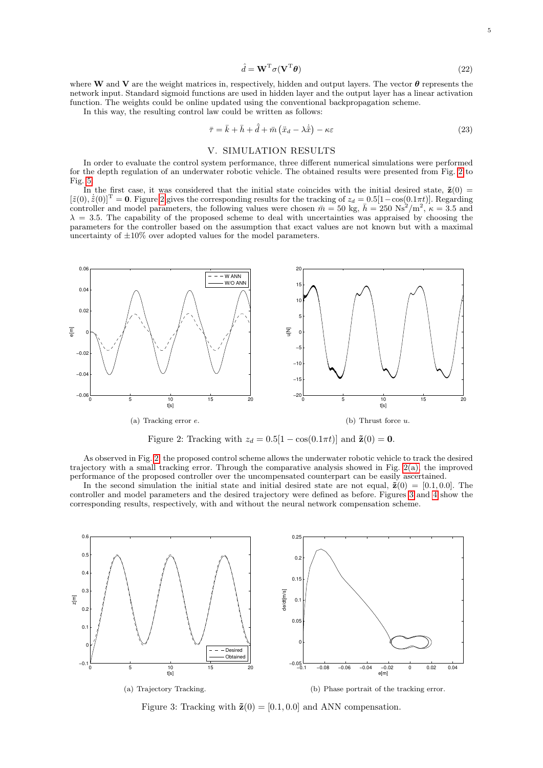$$
\hat{d} = \mathbf{W}^{\mathrm{T}} \sigma (\mathbf{V}^{\mathrm{T}} \boldsymbol{\theta}) \tag{22}
$$

where W and V are the weight matrices in, respectively, hidden and output layers. The vector  $\theta$  represents the network input. Standard sigmoid functions are used in hidden layer and the output layer has a linear activation function. The weights could be online updated using the conventional backpropagation scheme.

In this way, the resulting control law could be written as follows:

$$
\bar{\tau} = \bar{k} + \bar{h} + \hat{\bar{d}} + \bar{m} \left( \ddot{x}_d - \lambda \dot{\tilde{x}} \right) - \kappa \varepsilon \tag{23}
$$

## V. SIMULATION RESULTS

In order to evaluate the control system performance, three different numerical simulations were performed for the depth regulation of an underwater robotic vehicle. The obtained results were presented from Fig. [2](#page-4-0) to Fig. [5.](#page-5-1)

In the first case, it was considered that the initial state coincides with the initial desired state,  $\tilde{z}(0)$  =  $[\tilde{z}(0), \dot{\tilde{z}}(0)]^{\text{T}} = 0$ . Figure [2](#page-4-0) gives the corresponding results for the tracking of  $z_d = 0.5[1 - \cos(0.1\pi t)]$ . Regarding controller and model parameters, the following values were chosen  $\bar{m} = 50$  kg,  $\bar{h} = 250$  Ns<sup>2</sup>/m<sup>2</sup>,  $\kappa = 3.5$  and  $\lambda = 3.5$ . The capability of the proposed scheme to deal with uncertainties was appraised by choosing the parameters for the controller based on the assumption that exact values are not known but with a maximal uncertainty of  $\pm 10\%$  over adopted values for the model parameters.



<span id="page-4-0"></span>Figure 2: Tracking with  $z_d = 0.5[1 - \cos(0.1\pi t)]$  and  $\tilde{\mathbf{z}}(0) = \mathbf{0}$ .

<span id="page-4-1"></span>As observed in Fig. [2,](#page-4-0) the proposed control scheme allows the underwater robotic vehicle to track the desired trajectory with a small tracking error. Through the comparative analysis showed in Fig. [2\(a\),](#page-4-1) the improved performance of the proposed controller over the uncompensated counterpart can be easily ascertained.

In the second simulation the initial state and initial desired state are not equal,  $\tilde{\mathbf{z}}(0) = [0.1, 0.0].$  The controller and model parameters and the desired trajectory were defined as before. Figures [3](#page-4-2) and [4](#page-5-2) show the corresponding results, respectively, with and without the neural network compensation scheme.



<span id="page-4-4"></span><span id="page-4-3"></span><span id="page-4-2"></span>Figure 3: Tracking with  $\tilde{\mathbf{z}}(0) = [0.1, 0.0]$  and ANN compensation.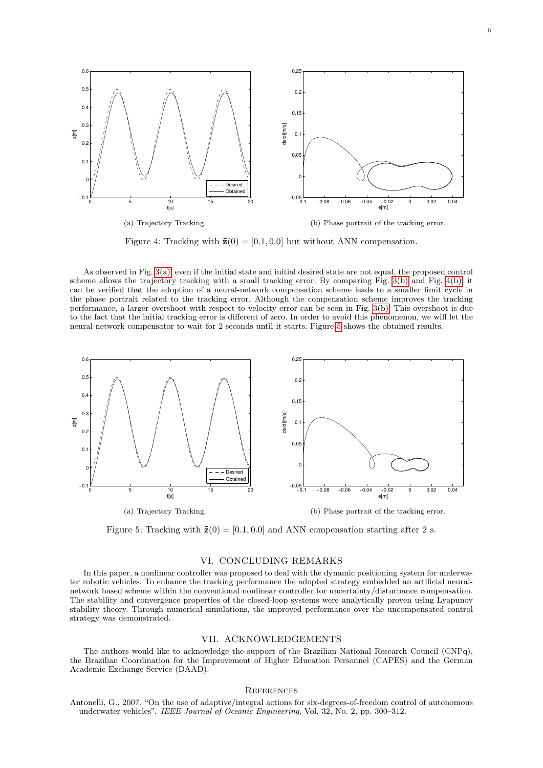

<span id="page-5-3"></span><span id="page-5-2"></span>Figure 4: Tracking with  $\tilde{\mathbf{z}}(0) = [0.1, 0.0]$  but without ANN compensation.

As observed in Fig. [3\(a\),](#page-4-3) even if the initial state and initial desired state are not equal, the proposed control scheme allows the trajectory tracking with a small tracking error. By comparing Fig. [3\(b\)](#page-4-4) and Fig. [4\(b\),](#page-5-3) it can be verified that the adoption of a neural-network compensation scheme leads to a smaller limit cycle in the phase portrait related to the tracking error. Although the compensation scheme improves the tracking performance, a larger overshoot with respect to velocity error can be seen in Fig. [3\(b\).](#page-4-4) This overshoot is due to the fact that the initial tracking error is different of zero. In order to avoid this phenomenon, we will let the neural-network compensator to wait for 2 seconds until it starts. Figure [5](#page-5-1) shows the obtained results.



<span id="page-5-1"></span>Figure 5: Tracking with  $\tilde{\mathbf{z}}(0) = [0.1, 0.0]$  and ANN compensation starting after 2 s.

# VI. CONCLUDING REMARKS

In this paper, a nonlinear controller was proposed to deal with the dynamic positioning system for underwater robotic vehicles. To enhance the tracking performance the adopted strategy embedded an artificial neuralnetwork based scheme within the conventional nonlinear controller for uncertainty/disturbance compensation. The stability and convergence properties of the closed-loop systems were analytically proven using Lyapunov stability theory. Through numerical simulations, the improved performance over the uncompensated control strategy was demonstrated.

## VII. ACKNOWLEDGEMENTS

The authors would like to acknowledge the support of the Brazilian National Research Council (CNPq), the Brazilian Coordination for the Improvement of Higher Education Personnel (CAPES) and the German Academic Exchange Service (DAAD).

#### **REFERENCES**

<span id="page-5-0"></span>Antonelli, G., 2007. "On the use of adaptive/integral actions for six-degrees-of-freedom control of autonomous underwater vehicles". IEEE Journal of Oceanic Engineering, Vol. 32, No. 2, pp. 300–312.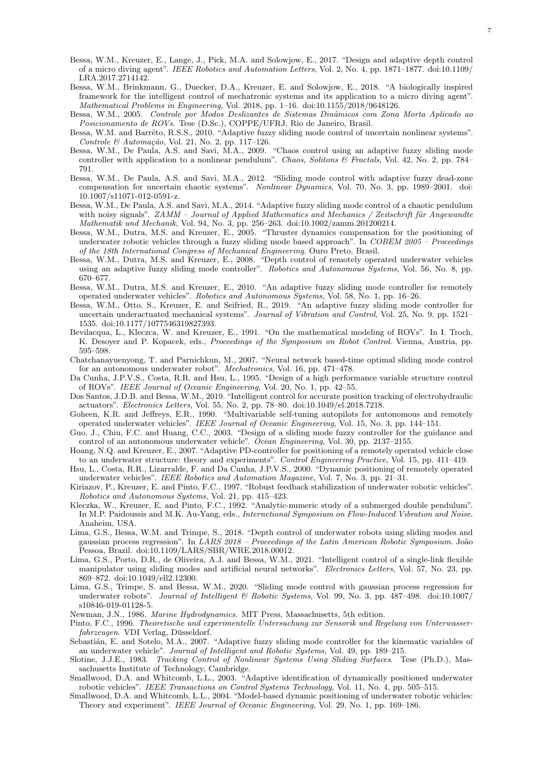- <span id="page-6-6"></span>Bessa, W.M., Kreuzer, E., Lange, J., Pick, M.A. and Solowjow, E., 2017. "Design and adaptive depth control of a micro diving agent". IEEE Robotics and Automation Letters, Vol. 2, No. 4, pp. 1871–1877. doi:10.1109/ LRA.2017.2714142.
- <span id="page-6-7"></span>Bessa, W.M., Brinkmann, G., Duecker, D.A., Kreuzer, E. and Solowjow, E., 2018. "A biologically inspired framework for the intelligent control of mechatronic systems and its application to a micro diving agent". Mathematical Problems in Engineering, Vol. 2018, pp. 1–16. doi:10.1155/2018/9648126.
- <span id="page-6-1"></span>Bessa, W.M., 2005. Controle por Modos Deslizantes de Sistemas Dinâmicos com Zona Morta Aplicado ao Posicionamento de ROVs. Tese (D.Sc.), COPPE/UFRJ, Rio de Janeiro, Brasil.
- <span id="page-6-2"></span>Bessa, W.M. and Barrêto, R.S.S., 2010. "Adaptive fuzzy sliding mode control of uncertain nonlinear systems". Controle & Automação, Vol. 21, No. 2, pp. 117-126.
- <span id="page-6-15"></span>Bessa, W.M., De Paula, A.S. and Savi, M.A., 2009. "Chaos control using an adaptive fuzzy sliding mode controller with application to a nonlinear pendulum". Chaos, Solitons & Fractals, Vol. 42, No. 2, pp. 784– 791.
- <span id="page-6-4"></span>Bessa, W.M., De Paula, A.S. and Savi, M.A., 2012. "Sliding mode control with adaptive fuzzy dead-zone compensation for uncertain chaotic systems". Nonlinear Dynamics, Vol. 70, No. 3, pp. 1989–2001. doi: 10.1007/s11071-012-0591-z.
- <span id="page-6-5"></span>Bessa, W.M., De Paula, A.S. and Savi, M.A., 2014. "Adaptive fuzzy sliding mode control of a chaotic pendulum with noisy signals".  $ZAMM - Journal$  of Applied Mathematics and Mechanics / Zeitschrift für Angewandte Mathematik und Mechanik, Vol. 94, No. 3, pp. 256–263. doi:10.1002/zamm.201200214.
- <span id="page-6-3"></span>Bessa, W.M., Dutra, M.S. and Kreuzer, E., 2005. "Thruster dynamics compensation for the positioning of underwater robotic vehicles through a fuzzy sliding mode based approach". In COBEM 2005 – Proceedings of the 18th International Congress of Mechanical Engineering. Ouro Preto, Brasil.
- <span id="page-6-13"></span>Bessa, W.M., Dutra, M.S. and Kreuzer, E., 2008. "Depth control of remotely operated underwater vehicles using an adaptive fuzzy sliding mode controller". Robotics and Autonomous Systems, Vol. 56, No. 8, pp. 670–677.
- <span id="page-6-14"></span>Bessa, W.M., Dutra, M.S. and Kreuzer, E., 2010. "An adaptive fuzzy sliding mode controller for remotely operated underwater vehicles". Robotics and Autonomous Systems, Vol. 58, No. 1, pp. 16–26.
- <span id="page-6-8"></span>Bessa, W.M., Otto, S., Kreuzer, E. and Seifried, R., 2019. "An adaptive fuzzy sliding mode controller for uncertain underactuated mechanical systems". Journal of Vibration and Control, Vol. 25, No. 9, pp. 1521– 1535. doi:10.1177/1077546319827393.
- <span id="page-6-23"></span>Bevilacqua, L., Kleczca, W. and Kreuzer, E., 1991. "On the mathematical modeling of ROVs". In I. Troch, K. Desoyer and P. Kopacek, eds., Proceedings of the Symposium on Robot Control. Vienna, Austria, pp. 595–598.
- <span id="page-6-29"></span>Chatchanayuenyong, T. and Parnichkun, M., 2007. "Neural network based-time optimal sliding mode control for an autonomous underwater robot". Mechatronics, Vol. 16, pp. 471–478.
- <span id="page-6-22"></span>Da Cunha, J.P.V.S., Costa, R.R. and Hsu, L., 1995. "Design of a high performance variable structure control of ROVs". IEEE Journal of Oceanic Engineering, Vol. 20, No. 1, pp. 42–55.
- <span id="page-6-9"></span>Dos Santos, J.D.B. and Bessa, W.M., 2019. "Intelligent control for accurate position tracking of electrohydraulic actuators". Electronics Letters, Vol. 55, No. 2, pp. 78–80. doi:10.1049/el.2018.7218.
- <span id="page-6-0"></span>Goheen, K.R. and Jeffreys, E.R., 1990. "Multivariable self-tuning autopilots for autonomous and remotely operated underwater vehicles". IEEE Journal of Oceanic Engineering, Vol. 15, No. 3, pp. 144–151.
- <span id="page-6-20"></span>Guo, J., Chiu, F.C. and Huang, C.C., 2003. "Design of a sliding mode fuzzy controller for the guidance and control of an autonomous underwater vehicle". Ocean Engineering, Vol. 30, pp. 2137–2155.
- <span id="page-6-16"></span>Hoang, N.Q. and Kreuzer, E., 2007. "Adaptive PD-controller for positioning of a remotely operated vehicle close to an underwater structure: theory and experiments". Control Engineering Practice, Vol. 15, pp. 411–419.
- <span id="page-6-18"></span>Hsu, L., Costa, R.R., Lizarralde, F. and Da Cunha, J.P.V.S., 2000. "Dynamic positioning of remotely operated underwater vehicles". IEEE Robotics and Automation Magazine, Vol. 7, No. 3, pp. 21–31.
- <span id="page-6-19"></span>Kiriazov, P., Kreuzer, E. and Pinto, F.C., 1997. "Robust feedback stabilization of underwater robotic vehicles". Robotics and Autonomous Systems, Vol. 21, pp. 415–423.
- <span id="page-6-25"></span>Kleczka, W., Kreuzer, E. and Pinto, F.C., 1992. "Analytic-numeric study of a submerged double pendulum". In M.P. Paidoussis and M.K. Au-Yang, eds., Internetional Symposium on Flow-Induced Vibration and Noise. Anaheim, USA.
- <span id="page-6-10"></span>Lima, G.S., Bessa, W.M. and Trimpe, S., 2018. "Depth control of underwater robots using sliding modes and gaussian process regression". In LARS 2018 – Proceedings of the Latin American Robotic Symposium. João Pessoa, Brazil. doi:10.1109/LARS/SBR/WRE.2018.00012.
- <span id="page-6-12"></span>Lima, G.S., Porto, D.R., de Oliveira, A.J. and Bessa, W.M., 2021. "Intelligent control of a single-link flexible manipulator using sliding modes and artificial neural networks". Electronics Letters, Vol. 57, No. 23, pp. 869–872. doi:10.1049/ell2.12300.
- <span id="page-6-11"></span>Lima, G.S., Trimpe, S. and Bessa, W.M., 2020. "Sliding mode control with gaussian process regression for underwater robots". Journal of Intelligent & Robotic Systems, Vol. 99, No. 3, pp. 487–498. doi:10.1007/ s10846-019-01128-5.
- <span id="page-6-24"></span>Newman, J.N., 1986. Marine Hydrodynamics. MIT Press, Massachusetts, 5th edition.
- <span id="page-6-21"></span>Pinto, F.C., 1996. Theoretische und experimentelle Untersuchung zur Sensorik und Regelung von Unterwasserfahrzeugen. VDI Verlag, Düsseldorf.
- <span id="page-6-28"></span>Sebastián, E. and Sotelo, M.A., 2007. "Adaptive fuzzy sliding mode controller for the kinematic variables of an underwater vehicle". Journal of Intelligent and Robotic Systems, Vol. 49, pp. 189–215.
- <span id="page-6-27"></span>Slotine, J.J.E., 1983. Tracking Control of Nonlinear Systems Using Sliding Surfaces. Tese (Ph.D.), Massachusetts Institute of Technology, Cambridge.
- <span id="page-6-26"></span>Smallwood, D.A. and Whitcomb, L.L., 2003. "Adaptive identification of dynamically positioned underwater robotic vehicles". IEEE Transactions on Control Systems Technology, Vol. 11, No. 4, pp. 505–515.
- <span id="page-6-17"></span>Smallwood, D.A. and Whitcomb, L.L., 2004. "Model-based dynamic positioning of underwater robotic vehicles: Theory and experiment". IEEE Journal of Oceanic Engineering, Vol. 29, No. 1, pp. 169–186.